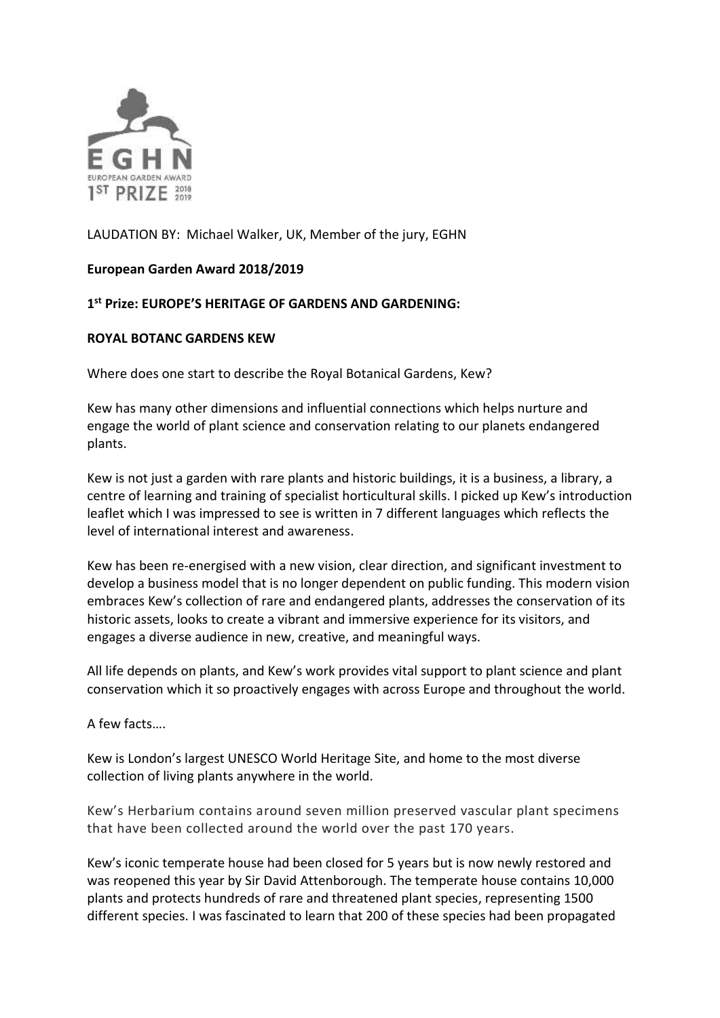

## LAUDATION BY: Michael Walker, UK, Member of the jury, EGHN

## **European Garden Award 2018/2019**

## **1 st Prize: EUROPE'S HERITAGE OF GARDENS AND GARDENING:**

## **ROYAL BOTANC GARDENS KEW**

Where does one start to describe the Royal Botanical Gardens, Kew?

Kew has many other dimensions and influential connections which helps nurture and engage the world of plant science and conservation relating to our planets endangered plants.

Kew is not just a garden with rare plants and historic buildings, it is a business, a library, a centre of learning and training of specialist horticultural skills. I picked up Kew's introduction leaflet which I was impressed to see is written in 7 different languages which reflects the level of international interest and awareness.

Kew has been re-energised with a new vision, clear direction, and significant investment to develop a business model that is no longer dependent on public funding. This modern vision embraces Kew's collection of rare and endangered plants, addresses the conservation of its historic assets, looks to create a vibrant and immersive experience for its visitors, and engages a diverse audience in new, creative, and meaningful ways.

All life depends on plants, and Kew's work provides vital support to plant science and plant conservation which it so proactively engages with across Europe and throughout the world.

A few facts….

Kew is London's largest UNESCO World Heritage Site, and home to the most diverse collection of living plants anywhere in the world.

Kew's Herbarium contains around seven million preserved vascular plant specimens that have been collected around the world over the past 170 years.

Kew's iconic temperate house had been closed for 5 years but is now newly restored and was reopened this year by Sir David Attenborough. The temperate house contains 10,000 plants and protects hundreds of rare and threatened plant species, representing 1500 different species. I was fascinated to learn that 200 of these species had been propagated